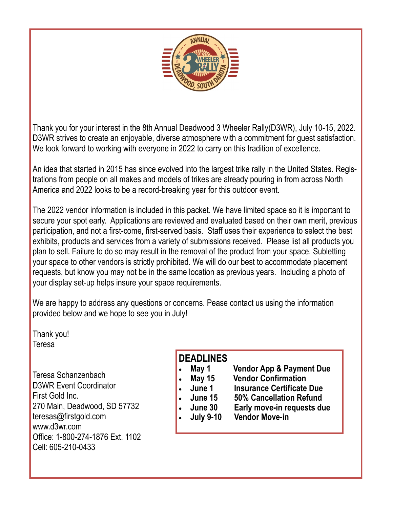

Thank you for your interest in the 8th Annual Deadwood 3 Wheeler Rally(D3WR), July 10-15, 2022. D3WR strives to create an enjoyable, diverse atmosphere with a commitment for guest satisfaction. We look forward to working with everyone in 2022 to carry on this tradition of excellence.

An idea that started in 2015 has since evolved into the largest trike rally in the United States. Registrations from people on all makes and models of trikes are already pouring in from across North America and 2022 looks to be a record-breaking year for this outdoor event.

The 2022 vendor information is included in this packet. We have limited space so it is important to secure your spot early. Applications are reviewed and evaluated based on their own merit, previous participation, and not a first-come, first-served basis. Staff uses their experience to select the best exhibits, products and services from a variety of submissions received. Please list all products you plan to sell. Failure to do so may result in the removal of the product from your space. Subletting your space to other vendors is strictly prohibited. We will do our best to accommodate placement requests, but know you may not be in the same location as previous years. Including a photo of your display set-up helps insure your space requirements.

We are happy to address any questions or concerns. Pease contact us using the information provided below and we hope to see you in July!

Thank you! Teresa

Teresa Schanzenbach D3WR Event Coordinator First Gold Inc. 270 Main, Deadwood, SD 57732 teresas@firstgold.com www.d3wr.com Office: 1-800-274-1876 Ext. 1102 Cell: 605-210-0433

# **DEADLINES**

- **May 1 Vendor App & Payment Due**
	- **May 15 Vendor Confirmation**
	- **June 1 Insurance Certificate Due**
- - **June 15 50% Cancellation Refund**
	- **June 30 Early move-in requests due**
- - **July 9-10 Vendor Move-in**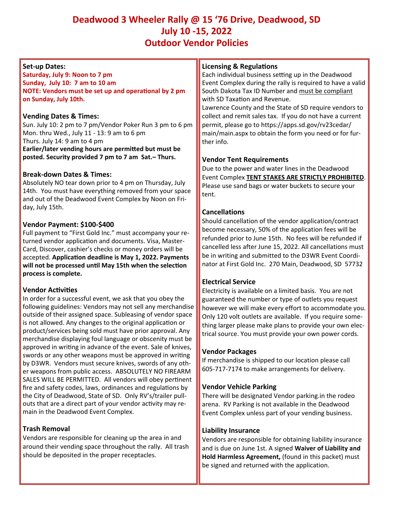# **Deadwood 3 Wheeler Rally @ 15 '76 Drive, Deadwood, SD July 10 -15, 2022 Outdoor Vendor Policies**

# **Set-up Dates:**

**Saturday, July 9: Noon to 7 pm Sunday, July 10: 7 am to 10 am NOTE: Vendors must be set up and operational by 2 pm on Sunday, July 10th.**

## **Vending Dates & Times:**

Sun. July 10: 2 pm to 7 pm/Vendor Poker Run 3 pm to 6 pm Mon. thru Wed., July 11 - 13: 9 am to 6 pm Thurs. July 14: 9 am to 4 pm **Earlier/later vending hours are permitted but must be posted. Security provided 7 pm to 7 am Sat.– Thurs.**

## **Break-down Dates & Times:**

Absolutely NO tear down prior to 4 pm on Thursday, July 14th. You must have everything removed from your space and out of the Deadwood Event Complex by Noon on Friday, July 15th.

## **Vendor Payment: \$100-\$400**

Full payment to "First Gold Inc." must accompany your returned vendor application and documents. Visa, Master-Card, Discover, cashier's checks or money orders will be accepted. **Application deadline is May 1, 2022. Payments will not be processed until May 15th when the selection process is complete.**

# **Vendor Activities**

In order for a successful event, we ask that you obey the following guidelines: Vendors may not sell any merchandise outside of their assigned space. Subleasing of vendor space is not allowed. Any changes to the original application or product/services being sold must have prior approval. Any merchandise displaying foul language or obscenity must be approved in writing in advance of the event. Sale of knives, swords or any other weapons must be approved in writing by D3WR. Vendors must secure knives, swords of any other weapons from public access. ABSOLUTELY NO FIREARM SALES WILL BE PERMITTED. All vendors will obey pertinent fire and safety codes, laws, ordinances and regulations by the City of Deadwood, State of SD. Only RV's/trailer pullouts that are a direct part of your vendor activity may remain in the Deadwood Event Complex.

# **Trash Removal**

Vendors are responsible for cleaning up the area in and around their vending space throughout the rally. All trash should be deposited in the proper receptacles.

#### **Licensing & Regulations**

Each individual business setting up in the Deadwood Event Complex during the rally is required to have a valid South Dakota Tax ID Number and must be compliant with SD Taxation and Revenue.

Lawrence County and the State of SD require vendors to collect and remit sales tax. If you do not have a current permit, please go to https://apps.sd.gov/rv23cedar/ main/main.aspx to obtain the form you need or for further info.

#### **Vendor Tent Requirements**

Due to the power and water lines in the Deadwood Event Complex **TENT STAKES ARE STRICTLY PROHIBITED**. Please use sand bags or water buckets to secure your tent.

## **Cancellations**

Should cancellation of the vendor application/contract become necessary, 50% of the application fees will be refunded prior to June 15th. No fees will be refunded if cancelled less after June 15, 2022. All cancellations must be in writing and submitted to the D3WR Event Coordinator at First Gold Inc. 270 Main, Deadwood, SD 57732

#### **Electrical Service**

Electricity is available on a limited basis. You are not guaranteed the number or type of outlets you request however we will make every effort to accommodate you. Only 120 volt outlets are available. If you require something larger please make plans to provide your own electrical source. You must provide your own power cords.

#### **Vendor Packages**

If merchandise is shipped to our location please call 605-717-7174 to make arrangements for delivery.

#### **Vendor Vehicle Parking**

There will be designated Vendor parking.in the rodeo arena. RV Parking is not available in the Deadwood Event Complex unless part of your vending business.

#### **Liability Insurance**

Vendors are responsible for obtaining liability insurance and is due on June 1st. A signed **Waiver of Liability and Hold Harmless Agreement,** (found in this packet) must be signed and returned with the application.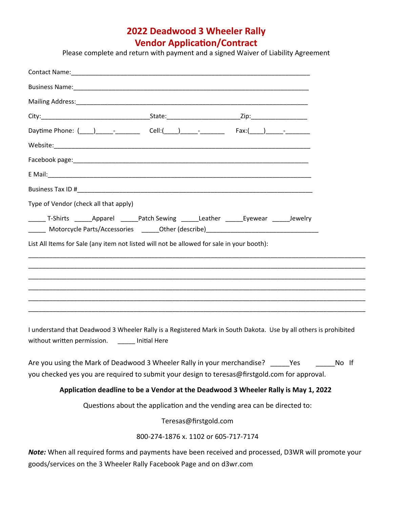# **2022 Deadwood 3 Wheeler Rally Vendor Application/Contract**

Please complete and return with payment and a signed Waiver of Liability Agreement

| Type of Vendor (check all that apply)                                                                                                                                      |       |
|----------------------------------------------------------------------------------------------------------------------------------------------------------------------------|-------|
| ________ T-Shirts ________Apparel ________Patch Sewing _______Leather _______Eyewear _______Jewelry                                                                        |       |
| List All Items for Sale (any item not listed will not be allowed for sale in your booth):                                                                                  |       |
|                                                                                                                                                                            |       |
|                                                                                                                                                                            |       |
|                                                                                                                                                                            |       |
|                                                                                                                                                                            |       |
| I understand that Deadwood 3 Wheeler Rally is a Registered Mark in South Dakota. Use by all others is prohibited<br>without written permission. _______ Initial Here       |       |
| Are you using the Mark of Deadwood 3 Wheeler Rally in your merchandise? Yes                                                                                                | No If |
| you checked yes you are required to submit your design to teresas@firstgold.com for approval.                                                                              |       |
| Application deadline to be a Vendor at the Deadwood 3 Wheeler Rally is May 1, 2022                                                                                         |       |
| Questions about the application and the vending area can be directed to:                                                                                                   |       |
| Teresas@firstgold.com                                                                                                                                                      |       |
| 800-274-1876 x. 1102 or 605-717-7174                                                                                                                                       |       |
| Note: When all required forms and payments have been received and processed, D3WR will promote your<br>goods/services on the 3 Wheeler Rally Facebook Page and on d3wr.com |       |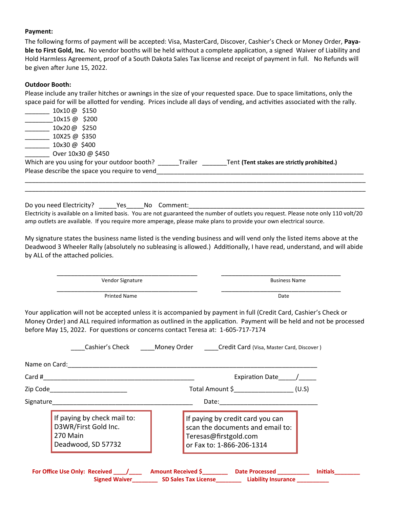#### **Payment:**

The following forms of payment will be accepted: Visa, MasterCard, Discover, Cashier's Check or Money Order, **Payable to First Gold, Inc.** No vendor booths will be held without a complete application, a signed Waiver of Liability and Hold Harmless Agreement, proof of a South Dakota Sales Tax license and receipt of payment in full. No Refunds will be given after June 15, 2022.

#### **Outdoor Booth:**

Please include any trailer hitches or awnings in the size of your requested space. Due to space limitations, only the space paid for will be allotted for vending. Prices include all days of vending, and activities associated with the rally.

| Please describe the space you require to vend                     |         | Tent (Tent stakes are strictly prohibited.) |
|-------------------------------------------------------------------|---------|---------------------------------------------|
| Over 10x30 @ \$450<br>Which are you using for your outdoor booth? | Trailer |                                             |
| 10x30 @ \$400                                                     |         |                                             |
| 10X25 @ \$350                                                     |         |                                             |
| 10x20@ \$250                                                      |         |                                             |
| 10x15 @ \$200                                                     |         |                                             |
| 10x10@ \$150                                                      |         |                                             |

Do you need Electricity? The Same No Comment: Electricity is available on a limited basis. You are not guaranteed the number of outlets you request. Please note only 110 volt/20 amp outlets are available. If you require more amperage, please make plans to provide your own electrical source.

\_\_\_\_\_\_\_\_\_\_\_\_\_\_\_\_\_\_\_\_\_\_\_\_\_\_\_\_\_\_\_\_\_\_\_\_\_\_\_\_\_\_\_\_\_\_\_\_\_\_\_\_\_\_\_\_\_\_\_\_\_\_\_\_\_\_\_\_\_\_\_\_\_\_\_\_\_\_\_\_\_\_\_\_\_\_\_\_\_\_\_\_\_\_\_\_\_

My signature states the business name listed is the vending business and will vend only the listed items above at the Deadwood 3 Wheeler Rally (absolutely no subleasing is allowed.) Additionally, I have read, understand, and will abide by ALL of the attached policies.

 \_\_\_\_\_\_\_\_\_\_\_\_\_\_\_\_\_\_\_\_\_\_\_\_\_\_\_\_\_\_\_\_\_\_\_\_\_\_\_\_ \_\_\_\_\_\_\_\_\_\_\_\_\_\_\_\_\_\_\_\_\_\_\_\_\_\_\_\_\_\_\_\_\_\_ Vendor Signature **Business Name Business Name**  \_\_\_\_\_\_\_\_\_\_\_\_\_\_\_\_\_\_\_\_\_\_\_\_\_\_\_\_\_\_\_\_\_\_\_\_\_\_\_\_ \_\_\_\_\_\_\_\_\_\_\_\_\_\_\_\_\_\_\_\_\_\_\_\_\_\_\_\_\_\_\_\_\_\_ Printed Name Date

Your application will not be accepted unless it is accompanied by payment in full (Credit Card, Cashier's Check or Money Order) and ALL required information as outlined in the application. Payment will be held and not be processed before May 15, 2022. For questions or concerns contact Teresa at: 1-605-717-7174

|                                                                                                                                                                                                                               | Expiration Date /                                                                                                          |
|-------------------------------------------------------------------------------------------------------------------------------------------------------------------------------------------------------------------------------|----------------------------------------------------------------------------------------------------------------------------|
| Zip Code________________________                                                                                                                                                                                              | Total Amount \$____________________(U.S)                                                                                   |
| Signature and the state of the state of the state of the state of the state of the state of the state of the state of the state of the state of the state of the state of the state of the state of the state of the state of | Date:                                                                                                                      |
| If paying by check mail to:<br>D3WR/First Gold Inc.<br>270 Main<br>Deadwood, SD 57732                                                                                                                                         | If paying by credit card you can<br>scan the documents and email to:<br>Teresas@firstgold.com<br>or Fax to: 1-866-206-1314 |